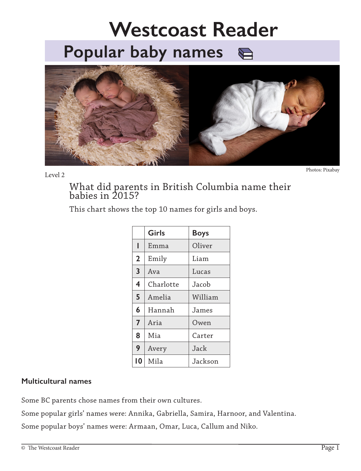# **Popular baby names Westcoast Reader**



Level 2 Photos: Pixabay

What did parents in British Columbia name their babies in 2015?

This chart shows the top 10 names for girls and boys.

|                | Girls     | <b>Boys</b> |
|----------------|-----------|-------------|
| ı              | Emma      | Oliver      |
| $\overline{2}$ | Emily     | Liam        |
| 3              | Ava       | Lucas       |
| 4              | Charlotte | Jacob       |
| 5              | Amelia    | William     |
| 6              | Hannah    | James       |
| $\overline{7}$ | Aria      | Owen        |
| 8              | Mia       | Carter      |
| 9              | Avery     | Jack        |
| 10             | Mila      | Jackson     |

### **Multicultural names**

Some BC parents chose names from their own cultures.

Some popular girls' names were: Annika, Gabriella, Samira, Harnoor, and Valentina.

Some popular boys' names were: Armaan, Omar, Luca, Callum and Niko.